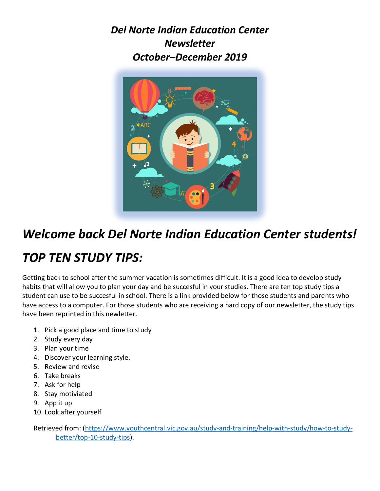*Del Norte Indian Education Center Newsletter October–December 2019* 



## *Welcome back Del Norte Indian Education Center students!*

## *TOP TEN STUDY TIPS:*

Getting back to school after the summer vacation is sometimes difficult. It is a good idea to develop study habits that will allow you to plan your day and be succesful in your studies. There are ten top study tips a student can use to be succesful in school. There is a link provided below for those students and parents who have access to a computer. For those students who are receiving a hard copy of our newsletter, the study tips have been reprinted in this newletter.

- 1. Pick a good place and time to study
- 2. Study every day
- 3. Plan your time
- 4. Discover your learning style.
- 5. Review and revise
- 6. Take breaks
- 7. Ask for help
- 8. Stay motiviated
- 9. App it up
- 10. Look after yourself

Retrieved from: (https://www.youthcentral.vic.gov.au/study-and-training/help-with-study/how-to-studybetter/top-10-study-tips).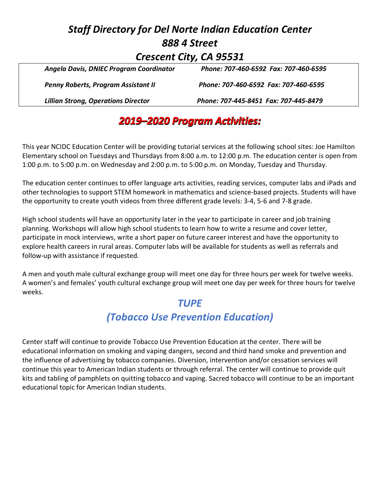#### *Staff Directory for Del Norte Indian Education Center 888 4 Street Crescent City, CA 95531 Angela Davis, DNIEC Program Coordinator Phone: 707-460-6592 Fax: 707-460-6595*

| <b>Lillian Strong, Operations Director</b> | Phone: 707-445-8451 Fax: 707-445-8479 |
|--------------------------------------------|---------------------------------------|
| <b>Penny Roberts, Program Assistant II</b> | Phone: 707-460-6592 Fax: 707-460-6595 |
| Angela Davis, Diviec Program Coordinator   | Phone: 707-460-6592 Fax: 707-460-6595 |

### *2019–2020 Program Activities:*

This year NCIDC Education Center will be providing tutorial services at the following school sites: Joe Hamilton Elementary school on Tuesdays and Thursdays from 8:00 a.m. to 12:00 p.m. The education center is open from 1:00 p.m. to 5:00 p.m. on Wednesday and 2:00 p.m. to 5:00 p.m. on Monday, Tuesday and Thursday.

The education center continues to offer language arts activities, reading services, computer labs and iPads and other technologies to support STEM homework in mathematics and science-based projects. Students will have the opportunity to create youth videos from three different grade levels: 3-4, 5-6 and 7-8 grade.

High school students will have an opportunity later in the year to participate in career and job training planning. Workshops will allow high school students to learn how to write a resume and cover letter, participate in mock interviews, write a short paper on future career interest and have the opportunity to explore health careers in rural areas. Computer labs will be available for students as well as referrals and follow-up with assistance if requested.

A men and youth male cultural exchange group will meet one day for three hours per week for twelve weeks. A women's and females' youth cultural exchange group will meet one day per week for three hours for twelve weeks.

#### *TUPE*

### *(Tobacco Use Prevention Education)*

Center staff will continue to provide Tobacco Use Prevention Education at the center. There will be educational information on smoking and vaping dangers, second and third hand smoke and prevention and the influence of advertising by tobacco companies. Diversion, intervention and/or cessation services will continue this year to American Indian students or through referral. The center will continue to provide quit kits and tabling of pamphlets on quitting tobacco and vaping. Sacred tobacco will continue to be an important educational topic for American Indian students.